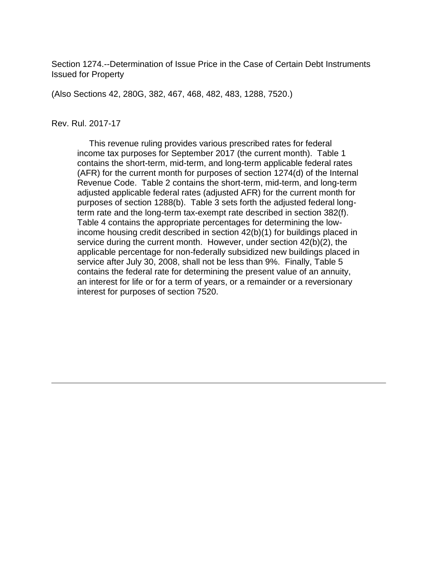Section 1274.--Determination of Issue Price in the Case of Certain Debt Instruments Issued for Property

(Also Sections 42, 280G, 382, 467, 468, 482, 483, 1288, 7520.)

#### Rev. Rul. 2017-17

 This revenue ruling provides various prescribed rates for federal income tax purposes for September 2017 (the current month). Table 1 contains the short-term, mid-term, and long-term applicable federal rates (AFR) for the current month for purposes of section 1274(d) of the Internal Revenue Code. Table 2 contains the short-term, mid-term, and long-term adjusted applicable federal rates (adjusted AFR) for the current month for purposes of section 1288(b). Table 3 sets forth the adjusted federal longterm rate and the long-term tax-exempt rate described in section 382(f). Table 4 contains the appropriate percentages for determining the lowincome housing credit described in section 42(b)(1) for buildings placed in service during the current month. However, under section 42(b)(2), the applicable percentage for non-federally subsidized new buildings placed in service after July 30, 2008, shall not be less than 9%. Finally, Table 5 contains the federal rate for determining the present value of an annuity, an interest for life or for a term of years, or a remainder or a reversionary interest for purposes of section 7520.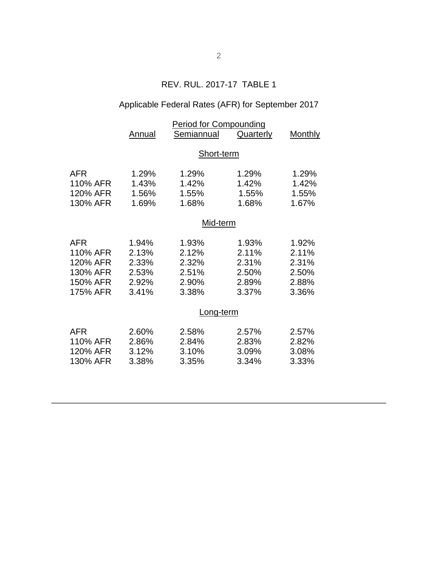## REV. RUL. 2017-17 TABLE 1

# Applicable Federal Rates (AFR) for September 2017

|          | <b>Period for Compounding</b> |            |           |         |  |  |
|----------|-------------------------------|------------|-----------|---------|--|--|
|          | Annual                        | Semiannual | Quarterly | Monthly |  |  |
|          |                               |            |           |         |  |  |
|          | Short-term                    |            |           |         |  |  |
| AFR      | 1.29%                         | 1.29%      | 1.29%     | 1.29%   |  |  |
| 110% AFR | 1.43%                         | 1.42%      | 1.42%     | 1.42%   |  |  |
| 120% AFR | 1.56%                         | 1.55%      | 1.55%     | 1.55%   |  |  |
| 130% AFR | 1.69%                         | 1.68%      | 1.68%     | 1.67%   |  |  |
|          | Mid-term                      |            |           |         |  |  |
|          |                               |            |           |         |  |  |
| AFR      | 1.94%                         | 1.93%      | 1.93%     | 1.92%   |  |  |
| 110% AFR | 2.13%                         | 2.12%      | 2.11%     | 2.11%   |  |  |
| 120% AFR | 2.33%                         | 2.32%      | 2.31%     | 2.31%   |  |  |
| 130% AFR | 2.53%                         | 2.51%      | 2.50%     | 2.50%   |  |  |
| 150% AFR | 2.92%                         | 2.90%      | 2.89%     | 2.88%   |  |  |
| 175% AFR | 3.41%                         | 3.38%      | 3.37%     | 3.36%   |  |  |
|          | Long-term                     |            |           |         |  |  |
|          |                               |            |           |         |  |  |
| AFR      | 2.60%                         | 2.58%      | 2.57%     | 2.57%   |  |  |
| 110% AFR | 2.86%                         | 2.84%      | 2.83%     | 2.82%   |  |  |
| 120% AFR | 3.12%                         | 3.10%      | 3.09%     | 3.08%   |  |  |
| 130% AFR | 3.38%                         | 3.35%      | 3.34%     | 3.33%   |  |  |
|          |                               |            |           |         |  |  |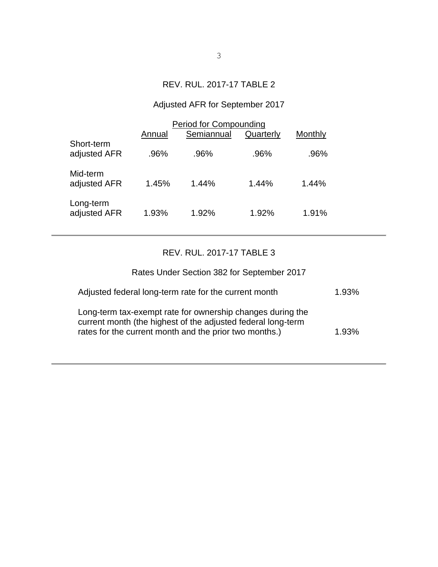### REV. RUL. 2017-17 TABLE 2

# Adjusted AFR for September 2017

|                            | Annual | <b>Period for Compounding</b><br>Semiannual | Quarterly | Monthly |
|----------------------------|--------|---------------------------------------------|-----------|---------|
| Short-term<br>adjusted AFR | .96%   | .96%                                        | .96%      | .96%    |
| Mid-term<br>adjusted AFR   | 1.45%  | 1.44%                                       | 1.44%     | 1.44%   |
| Long-term<br>adjusted AFR  | 1.93%  | 1.92%                                       | 1.92%     | 1.91%   |

### REV. RUL. 2017-17 TABLE 3

| Rates Under Section 382 for September 2017                                                                                                                                           |       |
|--------------------------------------------------------------------------------------------------------------------------------------------------------------------------------------|-------|
| Adjusted federal long-term rate for the current month                                                                                                                                | 1.93% |
| Long-term tax-exempt rate for ownership changes during the<br>current month (the highest of the adjusted federal long-term<br>rates for the current month and the prior two months.) | 1.93% |